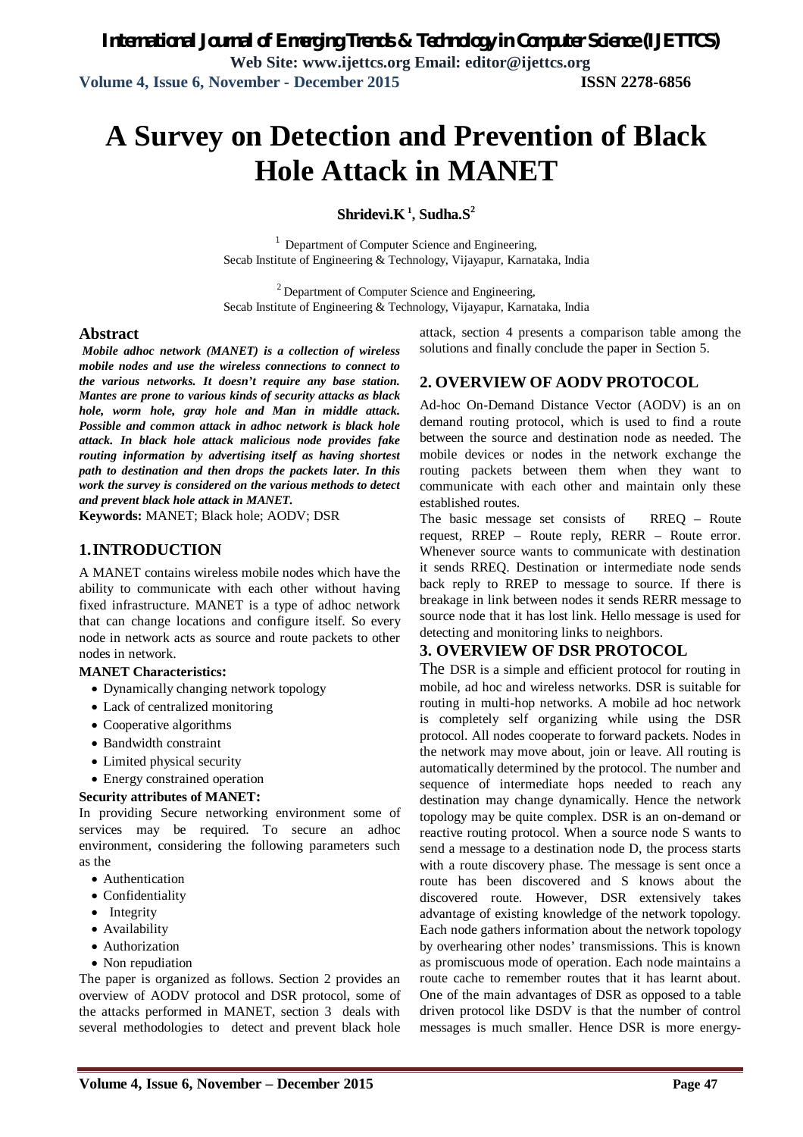# **A Survey on Detection and Prevention of Black Hole Attack in MANET**

#### **Shridevi.K 1 , Sudha.S<sup>2</sup>**

<sup>1</sup> Department of Computer Science and Engineering, Secab Institute of Engineering & Technology, Vijayapur, Karnataka, India

<sup>2</sup> Department of Computer Science and Engineering, Secab Institute of Engineering & Technology, Vijayapur, Karnataka, India

#### **Abstract**

*Mobile adhoc network (MANET) is a collection of wireless mobile nodes and use the wireless connections to connect to the various networks. It doesn't require any base station. Mantes are prone to various kinds of security attacks as black hole, worm hole, gray hole and Man in middle attack. Possible and common attack in adhoc network is black hole attack. In black hole attack malicious node provides fake routing information by advertising itself as having shortest path to destination and then drops the packets later. In this work the survey is considered on the various methods to detect and prevent black hole attack in MANET.*

**Keywords:** MANET; Black hole; AODV; DSR

#### **1.INTRODUCTION**

A MANET contains wireless mobile nodes which have the ability to communicate with each other without having fixed infrastructure. MANET is a type of adhoc network that can change locations and configure itself. So every node in network acts as source and route packets to other nodes in network.

#### **MANET Characteristics:**

- Dynamically changing network topology
- Lack of centralized monitoring
- Cooperative algorithms
- Bandwidth constraint
- Limited physical security

Energy constrained operation

#### **Security attributes of MANET:**

In providing Secure networking environment some of services may be required. To secure an adhoc environment, considering the following parameters such as the

- Authentication
- Confidentiality
- Integrity
- Availability
- Authorization
- Non repudiation

The paper is organized as follows. Section 2 provides an overview of AODV protocol and DSR protocol, some of the attacks performed in MANET, section 3 deals with several methodologies to detect and prevent black hole

attack, section 4 presents a comparison table among the solutions and finally conclude the paper in Section 5.

#### **2. OVERVIEW OF AODV PROTOCOL**

Ad-hoc On-Demand Distance Vector (AODV) is an on demand routing protocol, which is used to find a route between the source and destination node as needed. The mobile devices or nodes in the network exchange the routing packets between them when they want to communicate with each other and maintain only these established routes.

The basic message set consists of RREQ – Route request, RREP – Route reply, RERR – Route error. Whenever source wants to communicate with destination it sends RREQ. Destination or intermediate node sends back reply to RREP to message to source. If there is breakage in link between nodes it sends RERR message to source node that it has lost link. Hello message is used for detecting and monitoring links to neighbors.

#### **3. OVERVIEW OF DSR PROTOCOL**

The DSR is a simple and efficient protocol for routing in mobile, ad hoc and wireless networks. DSR is suitable for routing in multi-hop networks. A mobile ad hoc network is completely self organizing while using the DSR protocol. All nodes cooperate to forward packets. Nodes in the network may move about, join or leave. All routing is automatically determined by the protocol. The number and sequence of intermediate hops needed to reach any destination may change dynamically. Hence the network topology may be quite complex. DSR is an on-demand or reactive routing protocol. When a source node S wants to send a message to a destination node D, the process starts with a route discovery phase. The message is sent once a route has been discovered and S knows about the discovered route. However, DSR extensively takes advantage of existing knowledge of the network topology. Each node gathers information about the network topology by overhearing other nodes' transmissions. This is known as promiscuous mode of operation. Each node maintains a route cache to remember routes that it has learnt about. One of the main advantages of DSR as opposed to a table driven protocol like DSDV is that the number of control messages is much smaller. Hence DSR is more energy-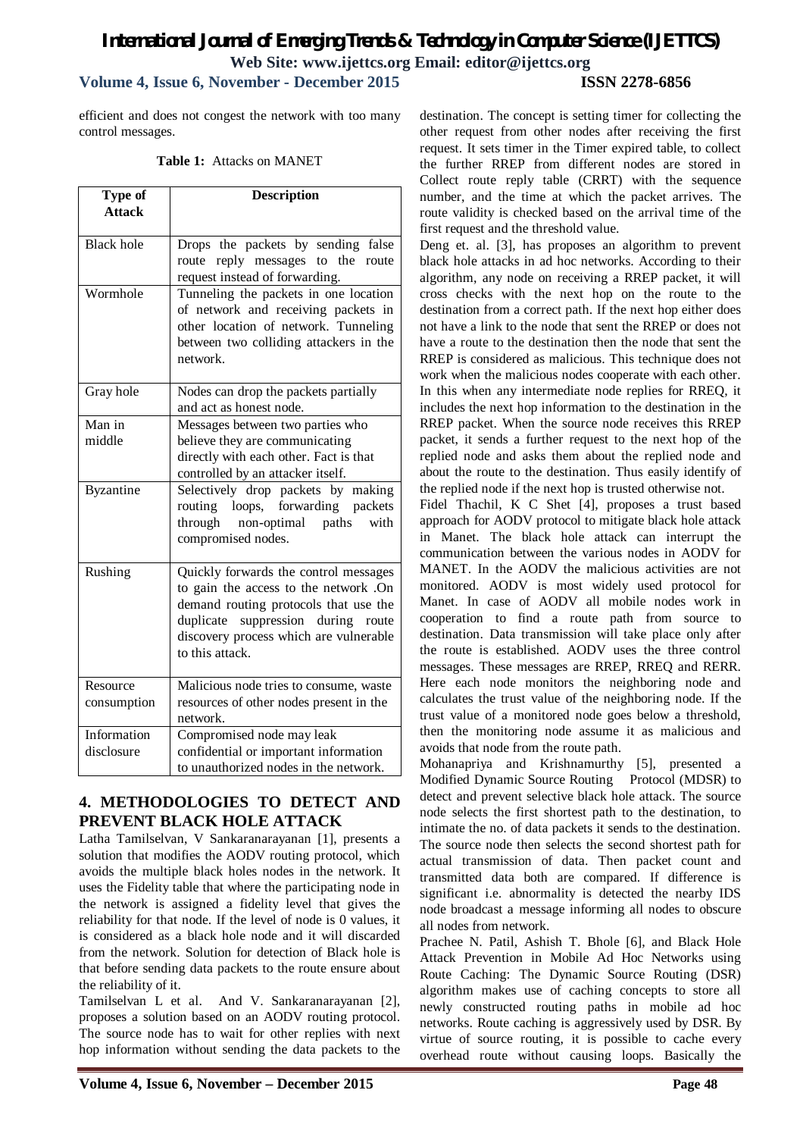# *International Journal of Emerging Trends & Technology in Computer Science (IJETTCS)* **Web Site: www.ijettcs.org Email: editor@ijettcs.org**

# **Volume 4, Issue 6, November - December 2015 ISSN 2278-6856**

efficient and does not congest the network with too many control messages.

#### **Table 1:** Attacks on MANET

| Type of<br><b>Attack</b>  | <b>Description</b>                                                                                                                                                                                                         |
|---------------------------|----------------------------------------------------------------------------------------------------------------------------------------------------------------------------------------------------------------------------|
| <b>Black</b> hole         | Drops the packets by sending false<br>route reply messages to the route<br>request instead of forwarding.                                                                                                                  |
| Wormhole                  | Tunneling the packets in one location<br>of network and receiving packets in<br>other location of network. Tunneling<br>between two colliding attackers in the<br>network.                                                 |
| Gray hole                 | Nodes can drop the packets partially<br>and act as honest node.                                                                                                                                                            |
| Man in<br>middle          | Messages between two parties who<br>believe they are communicating<br>directly with each other. Fact is that<br>controlled by an attacker itself.                                                                          |
| <b>Byzantine</b>          | Selectively drop packets by<br>making<br>routing loops, forwarding packets<br>through non-optimal paths<br>with<br>compromised nodes.                                                                                      |
| Rushing                   | Quickly forwards the control messages<br>to gain the access to the network .On<br>demand routing protocols that use the<br>duplicate suppression during route<br>discovery process which are vulnerable<br>to this attack. |
| Resource<br>consumption   | Malicious node tries to consume, waste<br>resources of other nodes present in the<br>network.                                                                                                                              |
| Information<br>disclosure | Compromised node may leak<br>confidential or important information<br>to unauthorized nodes in the network.                                                                                                                |

# **4. METHODOLOGIES TO DETECT AND PREVENT BLACK HOLE ATTACK**

Latha Tamilselvan, V Sankaranarayanan [1], presents a solution that modifies the AODV routing protocol, which avoids the multiple black holes nodes in the network. It uses the Fidelity table that where the participating node in the network is assigned a fidelity level that gives the reliability for that node. If the level of node is 0 values, it is considered as a black hole node and it will discarded from the network. Solution for detection of Black hole is that before sending data packets to the route ensure about the reliability of it.

Tamilselvan L et al. And V. Sankaranarayanan [2], proposes a solution based on an AODV routing protocol. The source node has to wait for other replies with next hop information without sending the data packets to the

destination. The concept is setting timer for collecting the other request from other nodes after receiving the first request. It sets timer in the Timer expired table, to collect the further RREP from different nodes are stored in Collect route reply table (CRRT) with the sequence number, and the time at which the packet arrives. The route validity is checked based on the arrival time of the first request and the threshold value.

Deng et. al. [3], has proposes an algorithm to prevent black hole attacks in ad hoc networks. According to their algorithm, any node on receiving a RREP packet, it will cross checks with the next hop on the route to the destination from a correct path. If the next hop either does not have a link to the node that sent the RREP or does not have a route to the destination then the node that sent the RREP is considered as malicious. This technique does not work when the malicious nodes cooperate with each other. In this when any intermediate node replies for RREQ, it includes the next hop information to the destination in the RREP packet. When the source node receives this RREP packet, it sends a further request to the next hop of the replied node and asks them about the replied node and about the route to the destination. Thus easily identify of the replied node if the next hop is trusted otherwise not.

Fidel Thachil, K C Shet [4], proposes a trust based approach for AODV protocol to mitigate black hole attack in Manet. The black hole attack can interrupt the communication between the various nodes in AODV for MANET. In the AODV the malicious activities are not monitored. AODV is most widely used protocol for Manet. In case of AODV all mobile nodes work in cooperation to find a route path from source to destination. Data transmission will take place only after the route is established. AODV uses the three control messages. These messages are RREP, RREQ and RERR. Here each node monitors the neighboring node and calculates the trust value of the neighboring node. If the trust value of a monitored node goes below a threshold, then the monitoring node assume it as malicious and avoids that node from the route path.

Mohanapriya and Krishnamurthy [5], presented a Modified Dynamic Source Routing Protocol (MDSR) to detect and prevent selective black hole attack. The source node selects the first shortest path to the destination, to intimate the no. of data packets it sends to the destination. The source node then selects the second shortest path for actual transmission of data. Then packet count and transmitted data both are compared. If difference is significant i.e. abnormality is detected the nearby IDS node broadcast a message informing all nodes to obscure all nodes from network.

Prachee N. Patil, Ashish T. Bhole [6], and Black Hole Attack Prevention in Mobile Ad Hoc Networks using Route Caching: The Dynamic Source Routing (DSR) algorithm makes use of caching concepts to store all newly constructed routing paths in mobile ad hoc networks. Route caching is aggressively used by DSR. By virtue of source routing, it is possible to cache every overhead route without causing loops. Basically the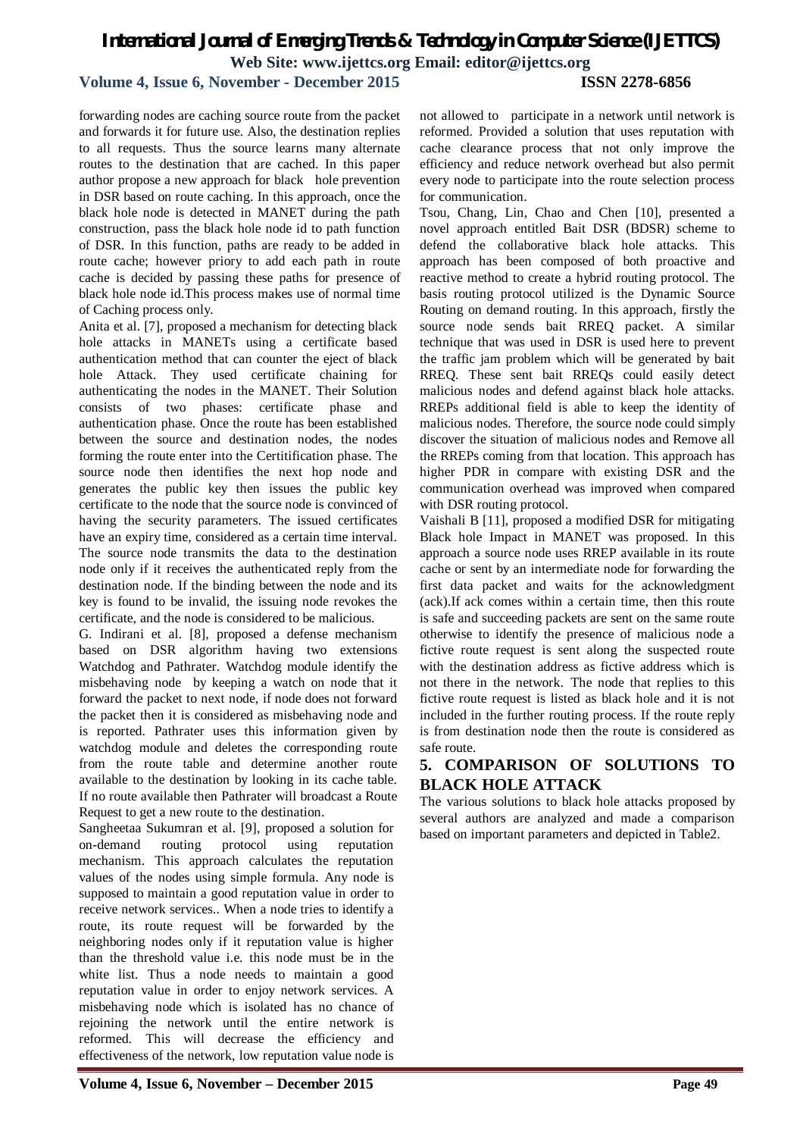# *International Journal of Emerging Trends & Technology in Computer Science (IJETTCS)* **Web Site: www.ijettcs.org Email: editor@ijettcs.org**

## **Volume 4, Issue 6, November - December 2015 ISSN 2278-6856**

forwarding nodes are caching source route from the packet and forwards it for future use. Also, the destination replies to all requests. Thus the source learns many alternate routes to the destination that are cached. In this paper author propose a new approach for black hole prevention in DSR based on route caching. In this approach, once the black hole node is detected in MANET during the path construction, pass the black hole node id to path function of DSR. In this function, paths are ready to be added in route cache; however priory to add each path in route cache is decided by passing these paths for presence of black hole node id.This process makes use of normal time of Caching process only.

Anita et al. [7], proposed a mechanism for detecting black hole attacks in MANETs using a certificate based authentication method that can counter the eject of black hole Attack. They used certificate chaining for authenticating the nodes in the MANET. Their Solution consists of two phases: certificate phase and authentication phase. Once the route has been established between the source and destination nodes, the nodes forming the route enter into the Certitification phase. The source node then identifies the next hop node and generates the public key then issues the public key certificate to the node that the source node is convinced of having the security parameters. The issued certificates have an expiry time, considered as a certain time interval. The source node transmits the data to the destination node only if it receives the authenticated reply from the destination node. If the binding between the node and its key is found to be invalid, the issuing node revokes the certificate, and the node is considered to be malicious.

G. Indirani et al. [8], proposed a defense mechanism based on DSR algorithm having two extensions Watchdog and Pathrater. Watchdog module identify the misbehaving node by keeping a watch on node that it forward the packet to next node, if node does not forward the packet then it is considered as misbehaving node and is reported. Pathrater uses this information given by watchdog module and deletes the corresponding route from the route table and determine another route available to the destination by looking in its cache table. If no route available then Pathrater will broadcast a Route Request to get a new route to the destination.

Sangheetaa Sukumran et al. [9], proposed a solution for on-demand routing protocol using reputation mechanism. This approach calculates the reputation values of the nodes using simple formula. Any node is supposed to maintain a good reputation value in order to receive network services.. When a node tries to identify a route, its route request will be forwarded by the neighboring nodes only if it reputation value is higher than the threshold value i.e. this node must be in the white list. Thus a node needs to maintain a good reputation value in order to enjoy network services. A misbehaving node which is isolated has no chance of rejoining the network until the entire network is reformed. This will decrease the efficiency and effectiveness of the network, low reputation value node is

not allowed to participate in a network until network is reformed. Provided a solution that uses reputation with cache clearance process that not only improve the efficiency and reduce network overhead but also permit every node to participate into the route selection process for communication.

Tsou, Chang, Lin, Chao and Chen [10], presented a novel approach entitled Bait DSR (BDSR) scheme to defend the collaborative black hole attacks. This approach has been composed of both proactive and reactive method to create a hybrid routing protocol. The basis routing protocol utilized is the Dynamic Source Routing on demand routing. In this approach, firstly the source node sends bait RREQ packet. A similar technique that was used in DSR is used here to prevent the traffic jam problem which will be generated by bait RREQ. These sent bait RREQs could easily detect malicious nodes and defend against black hole attacks. RREPs additional field is able to keep the identity of malicious nodes. Therefore, the source node could simply discover the situation of malicious nodes and Remove all the RREPs coming from that location. This approach has higher PDR in compare with existing DSR and the communication overhead was improved when compared with DSR routing protocol.

Vaishali B [11], proposed a modified DSR for mitigating Black hole Impact in MANET was proposed. In this approach a source node uses RREP available in its route cache or sent by an intermediate node for forwarding the first data packet and waits for the acknowledgment (ack).If ack comes within a certain time, then this route is safe and succeeding packets are sent on the same route otherwise to identify the presence of malicious node a fictive route request is sent along the suspected route with the destination address as fictive address which is not there in the network. The node that replies to this fictive route request is listed as black hole and it is not included in the further routing process. If the route reply is from destination node then the route is considered as safe route.

## **5. COMPARISON OF SOLUTIONS TO BLACK HOLE ATTACK**

The various solutions to black hole attacks proposed by several authors are analyzed and made a comparison based on important parameters and depicted in Table2.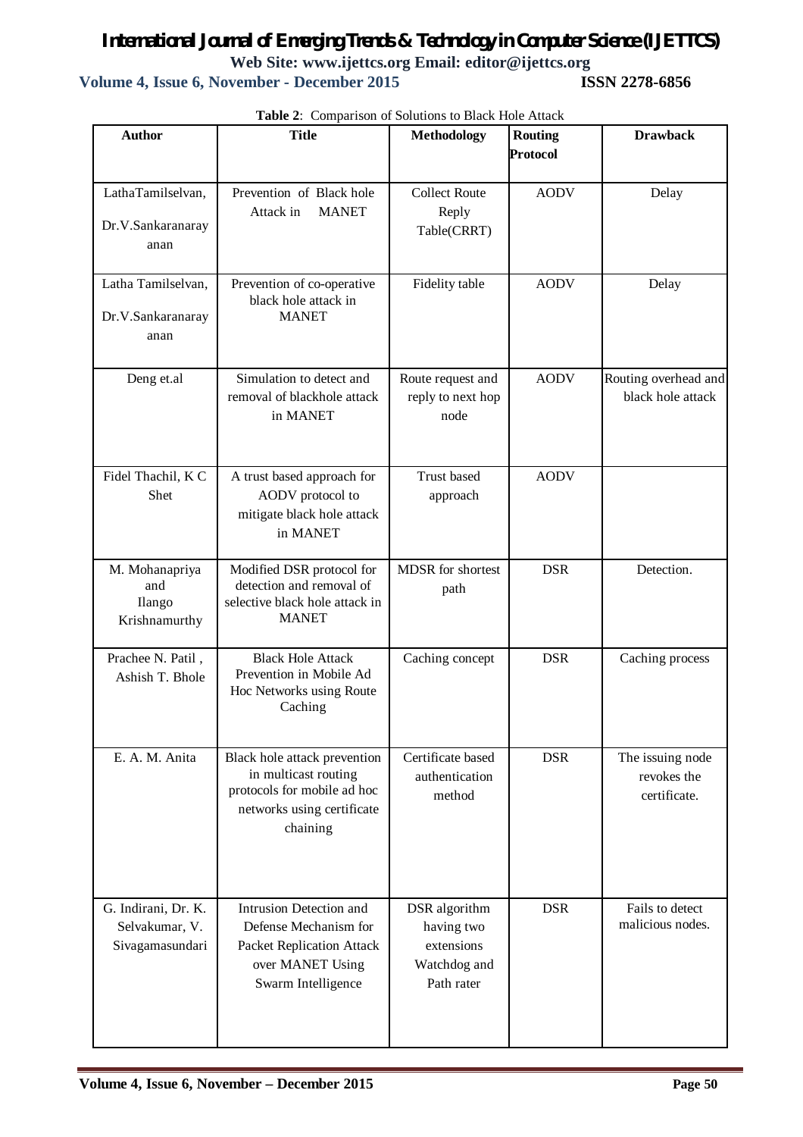# *International Journal of Emerging Trends & Technology in Computer Science (IJETTCS)* **Web Site: www.ijettcs.org Email: editor@ijettcs.org Volume 4, Issue 6, November - December 2015**

| <b>Author</b>                                            | $\cdot$ comparison<br><b>Title</b>                                                                                             | <b>Methodology</b>                                                      | <b>Routing</b>  | <b>Drawback</b>                                 |
|----------------------------------------------------------|--------------------------------------------------------------------------------------------------------------------------------|-------------------------------------------------------------------------|-----------------|-------------------------------------------------|
|                                                          |                                                                                                                                |                                                                         | <b>Protocol</b> |                                                 |
| LathaTamilselvan,<br>Dr.V.Sankaranaray<br>anan           | Prevention of Black hole<br>Attack in<br><b>MANET</b>                                                                          | <b>Collect Route</b><br>Reply<br>Table(CRRT)                            | <b>AODV</b>     | Delay                                           |
| Latha Tamilselvan,<br>Dr.V.Sankaranaray<br>anan          | Prevention of co-operative<br>black hole attack in<br><b>MANET</b>                                                             | Fidelity table                                                          | <b>AODV</b>     | Delay                                           |
| Deng et.al                                               | Simulation to detect and<br>removal of blackhole attack<br>in MANET                                                            | Route request and<br>reply to next hop<br>node                          | <b>AODV</b>     | Routing overhead and<br>black hole attack       |
| Fidel Thachil, K C<br>Shet                               | A trust based approach for<br>AODV protocol to<br>mitigate black hole attack<br>in MANET                                       | <b>Trust based</b><br>approach                                          | <b>AODV</b>     |                                                 |
| M. Mohanapriya<br>and<br>Ilango<br>Krishnamurthy         | Modified DSR protocol for<br>detection and removal of<br>selective black hole attack in<br><b>MANET</b>                        | MDSR for shortest<br>path                                               | <b>DSR</b>      | Detection.                                      |
| Prachee N. Patil,<br>Ashish T. Bhole                     | <b>Black Hole Attack</b><br>Prevention in Mobile Ad<br>Hoc Networks using Route<br>Caching                                     | Caching concept                                                         | <b>DSR</b>      | Caching process                                 |
| E. A. M. Anita                                           | Black hole attack prevention<br>in multicast routing<br>protocols for mobile ad hoc<br>networks using certificate<br>chaining  | Certificate based<br>authentication<br>method                           | <b>DSR</b>      | The issuing node<br>revokes the<br>certificate. |
| G. Indirani, Dr. K.<br>Selvakumar, V.<br>Sivagamasundari | Intrusion Detection and<br>Defense Mechanism for<br><b>Packet Replication Attack</b><br>over MANET Using<br>Swarm Intelligence | DSR algorithm<br>having two<br>extensions<br>Watchdog and<br>Path rater | <b>DSR</b>      | Fails to detect<br>malicious nodes.             |

**Table 2**: Comparison of Solutions to Black Hole Attack